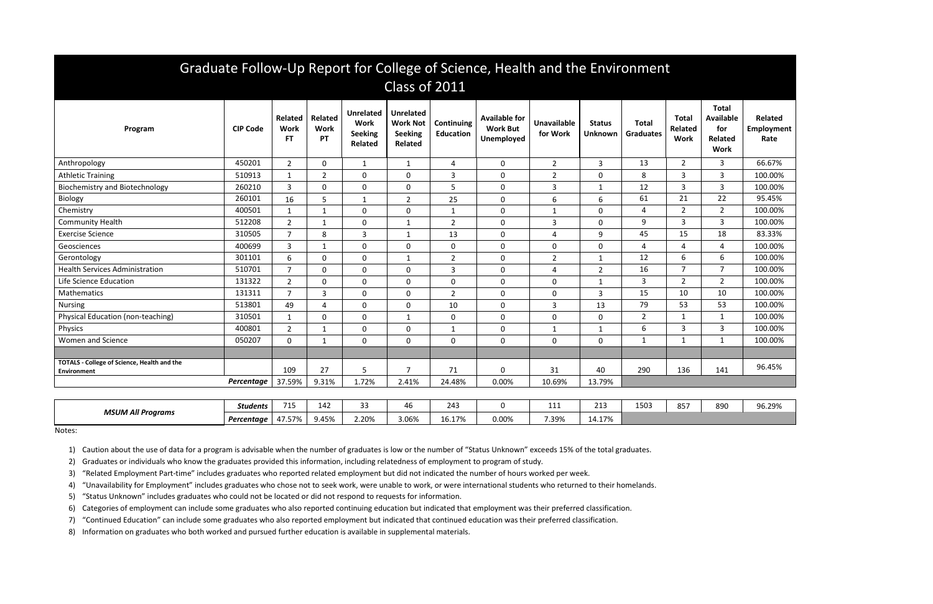| Graduate Follow-Up Report for College of Science, Health and the Environment<br>Class of 2011 |                   |                               |                                     |                                                       |                                                                         |                                |                                                       |                                |                                 |                                  |                                        |                                                                          |                                      |
|-----------------------------------------------------------------------------------------------|-------------------|-------------------------------|-------------------------------------|-------------------------------------------------------|-------------------------------------------------------------------------|--------------------------------|-------------------------------------------------------|--------------------------------|---------------------------------|----------------------------------|----------------------------------------|--------------------------------------------------------------------------|--------------------------------------|
| Program                                                                                       | <b>CIP Code</b>   | Related<br><b>Work</b><br>FT. | <b>Related</b><br><b>Work</b><br>PT | <b>Unrelated</b><br>Work<br><b>Seeking</b><br>Related | <b>Unrelated</b><br><b>Work Not</b><br><b>Seeking</b><br><b>Related</b> | Continuing<br><b>Education</b> | <b>Available for</b><br><b>Work But</b><br>Unemployed | <b>Unavailable</b><br>for Work | <b>Status</b><br><b>Unknown</b> | <b>Total</b><br><b>Graduates</b> | <b>Total</b><br>Related<br><b>Work</b> | <b>Total</b><br><b>Available</b><br>for<br><b>Related</b><br><b>Work</b> | <b>Related</b><br>Employment<br>Rate |
| Anthropology                                                                                  | 450201            | $2^{\circ}$                   | $\Omega$                            | $\mathbf{1}$                                          | 1                                                                       | 4                              | $\mathbf 0$                                           | $\overline{2}$                 | $\mathbf{3}$                    | 13                               | $\overline{2}$                         | $\overline{3}$                                                           | 66.67%                               |
| <b>Athletic Training</b>                                                                      | 510913            | $\mathbf{1}$                  | $\overline{2}$                      | $\mathbf 0$                                           | $\mathbf 0$                                                             | 3                              | $\mathbf 0$                                           | $\overline{2}$                 | $\mathbf 0$                     | 8                                | 3                                      | 3                                                                        | 100.00%                              |
| <b>Biochemistry and Biotechnology</b>                                                         | 260210            | 3                             | 0                                   | $\mathbf 0$                                           | $\mathbf 0$                                                             | 5                              | 0                                                     | 3                              | $\mathbf{1}$                    | 12                               | 3                                      | 3                                                                        | 100.00%                              |
| Biology                                                                                       | 260101            | 16                            | 5                                   | $\mathbf{1}$                                          | $\overline{2}$                                                          | 25                             | $\mathbf 0$                                           | 6                              | 6                               | 61                               | 21                                     | 22                                                                       | 95.45%                               |
| Chemistry                                                                                     | 400501            | 1                             | $\mathbf 1$                         | $\mathbf 0$                                           | $\mathbf 0$                                                             | 1                              | $\mathbf 0$                                           | $\mathbf{1}$                   | $\mathbf 0$                     | 4                                | $\overline{2}$                         | $\overline{2}$                                                           | 100.00%                              |
| <b>Community Health</b>                                                                       | 512208            | $\overline{2}$                | $\mathbf 1$                         | $\mathbf 0$                                           |                                                                         | $\overline{2}$                 | $\mathbf 0$                                           | 3                              | $\mathbf 0$                     | 9                                | 3                                      | 3                                                                        | 100.00%                              |
| <b>Exercise Science</b>                                                                       | 310505            | $\overline{7}$                | 8                                   | $\overline{3}$                                        | 1                                                                       | 13                             | $\mathbf 0$                                           | 4                              | 9                               | 45                               | 15                                     | 18                                                                       | 83.33%                               |
| Geosciences                                                                                   | 400699            | 3                             | $\mathbf{1}$                        | $\mathbf 0$                                           | $\Omega$                                                                | $\pmb{0}$                      | $\mathbf 0$                                           | 0                              | $\mathbf 0$                     | 4                                | 4                                      | 4                                                                        | 100.00%                              |
| Gerontology                                                                                   | 301101            | 6                             | $\mathbf{0}$                        | $\mathbf 0$                                           | -1                                                                      | $\overline{2}$                 | $\mathbf 0$                                           | $\overline{2}$                 | $\mathbf{1}$                    | 12                               | 6                                      | 6                                                                        | 100.00%                              |
| <b>Health Services Administration</b>                                                         | 510701            | $\overline{7}$                | $\mathbf 0$                         | $\mathbf{0}$                                          | 0                                                                       | 3                              | $\mathbf 0$                                           | 4                              | $\overline{2}$                  | 16                               | $\overline{7}$                         | $\overline{7}$                                                           | 100.00%                              |
| Life Science Education                                                                        | 131322            | $2^{\circ}$                   | $\Omega$                            | $\mathbf 0$                                           | $\mathbf 0$                                                             | $\mathbf 0$                    | $\mathbf{0}$                                          | 0                              | $\mathbf{1}$                    | 3                                | $\overline{2}$                         | $\overline{2}$                                                           | 100.00%                              |
| Mathematics                                                                                   | 131311            | $\overline{7}$                | 3                                   | $\mathbf 0$                                           | $\Omega$                                                                | $\overline{2}$                 | $\mathbf 0$                                           | 0                              | $\overline{3}$                  | 15                               | 10                                     | 10                                                                       | 100.00%                              |
| <b>Nursing</b>                                                                                | 513801            | 49                            | $\Delta$                            | $\mathbf 0$                                           | $\mathbf 0$                                                             | 10                             | $\mathbf 0$                                           | 3                              | 13                              | 79                               | 53                                     | 53                                                                       | 100.00%                              |
| Physical Education (non-teaching)                                                             | 310501            | $\mathbf{1}$                  | $\Omega$                            | $\mathbf 0$                                           | $\mathbf{1}$                                                            | $\mathbf 0$                    | $\mathbf{0}$                                          | 0                              | $\mathbf{0}$                    | $\overline{2}$                   | $\mathbf 1$                            | 1                                                                        | 100.00%                              |
| Physics                                                                                       | 400801            | $\overline{2}$                | $\mathbf 1$                         | $\mathbf 0$                                           | $\Omega$                                                                | 1                              | 0                                                     | $\mathbf{1}$                   | 1                               | 6                                | 3                                      | 3                                                                        | 100.00%                              |
| Women and Science                                                                             | 050207            | $\mathbf{0}$                  | $\mathbf 1$                         | $\Omega$                                              | $\mathbf 0$                                                             | $\mathbf 0$                    | $\mathbf 0$                                           | $\overline{0}$                 | $\mathbf{0}$                    | $\mathbf{1}$                     | 1                                      | $\mathbf{1}$                                                             | 100.00%                              |
|                                                                                               |                   |                               |                                     |                                                       |                                                                         |                                |                                                       |                                |                                 |                                  |                                        |                                                                          |                                      |
| <b>TOTALS - College of Science, Health and the</b><br><b>Environment</b>                      |                   | 109                           | 27                                  | 5                                                     | 7                                                                       | 71                             | 0                                                     | 31                             | 40                              | 290                              | 136                                    | 141                                                                      | 96.45%                               |
|                                                                                               | Percentage        | 37.59%                        | 9.31%                               | 1.72%                                                 | 2.41%                                                                   | 24.48%                         | 0.00%                                                 | 10.69%                         | 13.79%                          |                                  |                                        |                                                                          |                                      |
|                                                                                               |                   |                               |                                     |                                                       |                                                                         |                                |                                                       |                                |                                 |                                  |                                        |                                                                          |                                      |
| <b>MSUM All Programs</b>                                                                      | <b>Students</b>   | 715                           | 142                                 | 33                                                    | 46                                                                      | 243                            | 0                                                     | 111                            | 213                             | 1503                             | 857                                    | 890                                                                      | 96.29%                               |
|                                                                                               | <b>Dercentane</b> | <b>1757%</b>                  | 9.15%                               | 2.20%                                                 | 3 06%                                                                   | 16 17%                         | በ በበ%                                                 | 7 3 9%                         | 14 17%                          |                                  |                                        |                                                                          |                                      |

| <b>MSUM All Programs</b> | <b>Students</b> | --<br>.              | .<br>142               |                      | 40    | $ -$<br>243 |               | 1.4A<br>. | 213                            | 1503 | O <sub>F</sub><br>ου. | 890 | 96.29% |
|--------------------------|-----------------|----------------------|------------------------|----------------------|-------|-------------|---------------|-----------|--------------------------------|------|-----------------------|-----|--------|
|                          | Percentage      | $\sim - - -$<br>- 70 | $\sim$<br>$7 -$<br>,,, | $\sim$ 2004<br>2.ZU% | 3.06% | 170<br>10.T | 0.00<br>U.UU% | '.39%     | 14 1 70<br>14.17<br><u>, u</u> |      |                       |     |        |

Notes:

1) Caution about the use of data for a program is advisable when the number of graduates is low or the number of "Status Unknown" exceeds 15% of the total graduates.

2) Graduates or individuals who know the graduates provided this information, including relatedness of employment to program of study.

3) "Related Employment Part-time" includes graduates who reported related employment but did not indicated the number of hours worked per week.

4) "Unavailability for Employment" includes graduates who chose not to seek work, were unable to work, or were international students who returned to their homelands.

5) "Status Unknown" includes graduates who could not be located or did not respond to requests for information.

6) Categories of employment can include some graduates who also reported continuing education but indicated that employment was their preferred classification.

7) "Continued Education" can include some graduates who also reported employment but indicated that continued education was their preferred classification.

8) Information on graduates who both worked and pursued further education is available in supplemental materials.